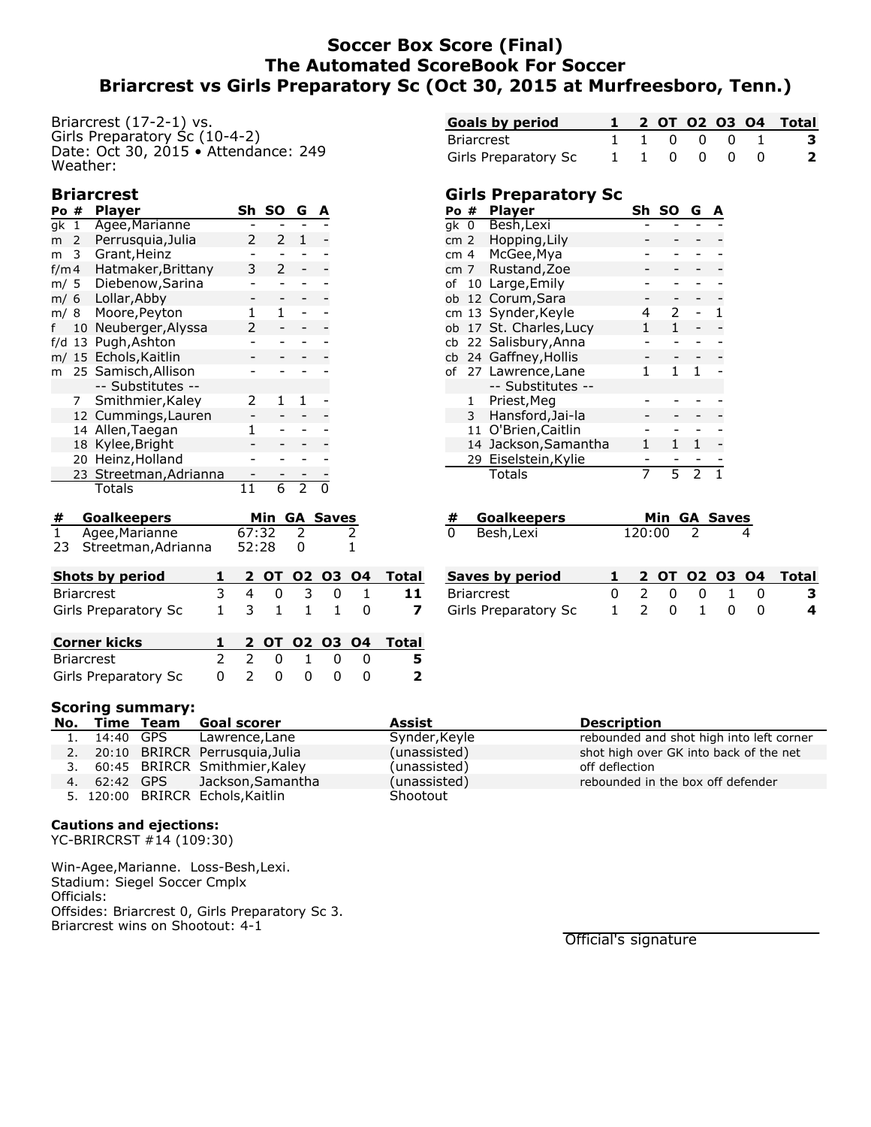## **Soccer Box Score (Final) The Automated ScoreBook For Soccer Briarcrest vs Girls Preparatory Sc (Oct 30, 2015 at Murfreesboro, Tenn.)**

Briarcrest (17-2-1) vs. Girls Preparatory Sc (10-4-2) Date: Oct 30, 2015 • Attendance: 249 Weather:

### **Briarcrest**

| Po# |                 | <b>Player</b>          | Sh | SΟ | G | A |
|-----|-----------------|------------------------|----|----|---|---|
| ak  | 1               | Agee, Marianne         |    |    |   |   |
| m   | 2               | Perrusquia, Julia      |    | 2  | 1 |   |
| m   | 3               | Grant, Heinz           |    |    |   |   |
|     | f/m 4           | Hatmaker, Brittany     | 3  | 2  |   |   |
|     | m/ 5            | Diebenow, Sarina       |    |    |   |   |
|     | m/ 6            | Lollar, Abby           |    |    |   |   |
|     | m/ 8            | Moore, Peyton          |    | 1  |   |   |
|     | 10 <sup>1</sup> | Neuberger, Alyssa      | 2  |    |   |   |
| f/d | 13              | Pugh, Ashton           |    |    |   |   |
| m/  |                 | 15 Echols, Kaitlin     |    |    |   |   |
| m   |                 | 25 Samisch, Allison    |    |    |   |   |
|     |                 | -- Substitutes --      |    |    |   |   |
|     | 7               | Smithmier, Kaley       | 2  |    | 1 |   |
|     |                 | 12 Cummings, Lauren    |    |    |   |   |
|     | 14              | Allen, Taegan          | 1  |    |   |   |
|     | 18              | Kylee, Bright          |    |    |   |   |
|     |                 | 20 Heinz, Holland      |    |    |   |   |
|     |                 | 23 Streetman, Adrianna |    |    |   |   |
|     |                 | Totals                 |    | 6  |   |   |

| # Goalkeepers          |                 | Min GA Saves |  |
|------------------------|-----------------|--------------|--|
| 1 Agee, Marianne       | $67:32 \quad 2$ |              |  |
| 23 Streetman, Adrianna | 52:28           |              |  |

| <b>Shots by period</b> |  |  |             | 1 2 OT 02 03 04 Total    |
|------------------------|--|--|-------------|--------------------------|
| Briarcrest             |  |  |             | 3 4 0 3 0 1 11           |
| Girls Preparatory Sc   |  |  | 1 3 1 1 1 0 | $\overline{\phantom{a}}$ |

| <b>Corner kicks</b>              |  |  |             | 1 2 0T 02 03 04 Total |
|----------------------------------|--|--|-------------|-----------------------|
| Briarcrest                       |  |  | 2 2 0 1 0 0 | - 5                   |
| Girls Preparatory Sc 0 2 0 0 0 0 |  |  |             | $\overline{2}$        |

| <b>Goals by period</b> |  |             |  | 1 2 0T 02 03 04 Total |
|------------------------|--|-------------|--|-----------------------|
| Briarcrest             |  | 1 1 0 0 0 1 |  |                       |
| Girls Preparatory Sc   |  | 110000      |  |                       |

### **Girls Preparatory Sc**

| Po # |    | <b>Player</b>         | Sh | SΟ | G | А |
|------|----|-----------------------|----|----|---|---|
| qk 0 |    | Besh, Lexi            |    |    |   |   |
| cm 2 |    | Hopping, Lily         |    |    |   |   |
| cm 4 |    | McGee, Mya            |    |    |   |   |
| cm 7 |    | Rustand, Zoe          |    |    |   |   |
| of   |    | 10 Large, Emily       |    |    |   |   |
| ob   |    | 12 Corum, Sara        |    |    |   |   |
|      |    | cm 13 Synder, Keyle   |    | 2  |   |   |
| ob   |    | 17 St. Charles, Lucy  |    | 1  |   |   |
|      |    | cb 22 Salisbury, Anna |    |    |   |   |
|      |    | cb 24 Gaffney, Hollis |    |    |   |   |
|      |    | of 27 Lawrence, Lane  | 1  | 1  | 1 |   |
|      |    | -- Substitutes --     |    |    |   |   |
|      | 1  | Priest, Meg           |    |    |   |   |
|      | 3  | Hansford, Jai-la      |    |    |   |   |
|      | 11 | O'Brien, Caitlin      |    |    |   |   |
|      | 14 | Jackson, Samantha     |    |    |   |   |
|      | 29 | Eiselstein, Kylie     |    |    |   |   |
|      |    | Totals                | 7  | 5  | 2 |   |

|   | # Goalkeepers |        | Min GA Saves |
|---|---------------|--------|--------------|
| 0 | Besh,Lexi     | 120:00 |              |

| Saves by period      |  |             |  | 1 2 OT 02 03 04 Total |
|----------------------|--|-------------|--|-----------------------|
| Briarcrest           |  | 0 2 0 0 1 0 |  | 3                     |
| Girls Preparatory Sc |  | 1 2 0 1 0 0 |  | 4                     |

|  | No. Time Team Goal scorer         | Assist        | <b>Description</b>                       |
|--|-----------------------------------|---------------|------------------------------------------|
|  | 1. 14:40 GPS Lawrence, Lane       | Synder, Keyle | rebounded and shot high into left corner |
|  | 2. 20:10 BRIRCR Perrusquia, Julia | (unassisted)  | shot high over GK into back of the net   |
|  | 3. 60:45 BRIRCR Smithmier, Kaley  | (unassisted)  | off deflection                           |
|  | 4. 62:42 GPS Jackson, Samantha    | (unassisted)  | rebounded in the box off defender        |
|  | 5. 120:00 BRIRCR Echols, Kaitlin  | Shootout      |                                          |

#### **Cautions and ejections:**

**Scoring summary:**

YC-BRIRCRST #14 (109:30)

Win-Agee,Marianne. Loss-Besh,Lexi. Stadium: Siegel Soccer Cmplx Officials: Offsides: Briarcrest 0, Girls Preparatory Sc 3. Briarcrest wins on Shootout: 4-1

Official's signature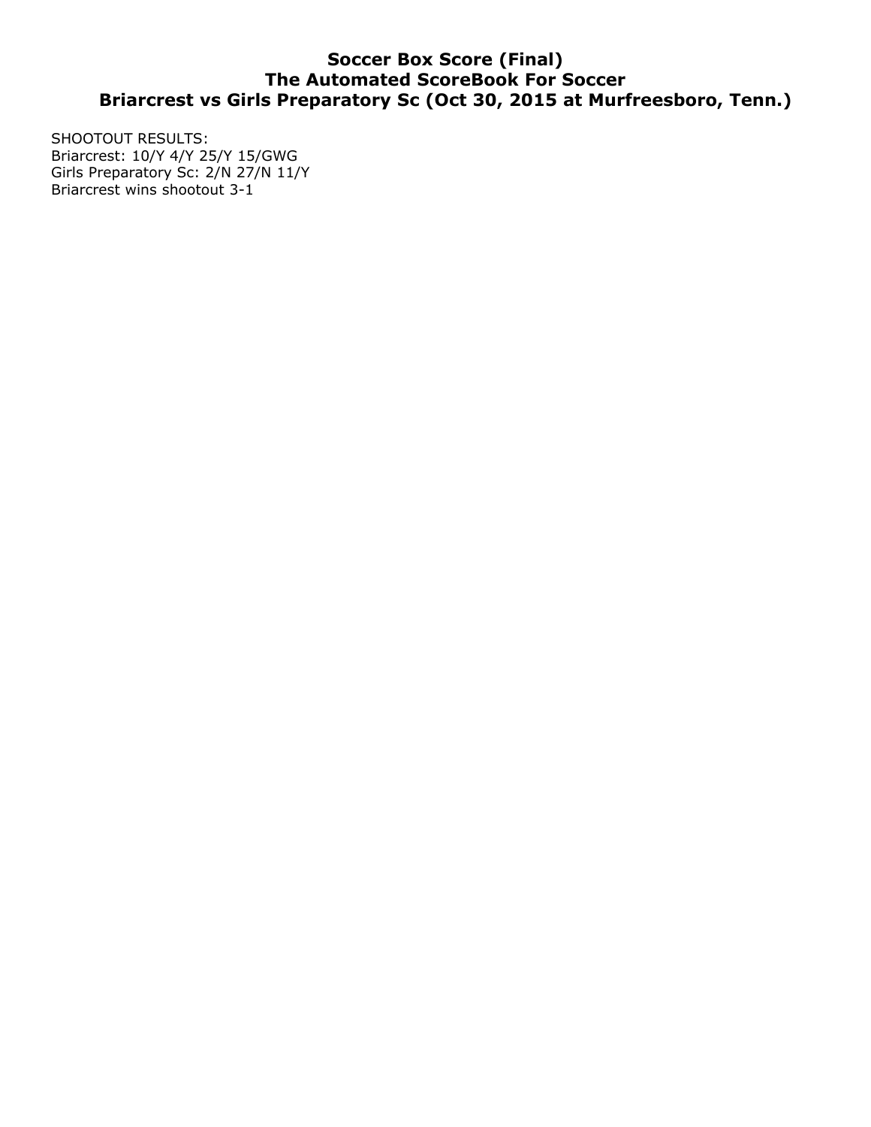# **Soccer Box Score (Final) The Automated ScoreBook For Soccer Briarcrest vs Girls Preparatory Sc (Oct 30, 2015 at Murfreesboro, Tenn.)**

SHOOTOUT RESULTS: Briarcrest: 10/Y 4/Y 25/Y 15/GWG Girls Preparatory Sc: 2/N 27/N 11/Y Briarcrest wins shootout 3-1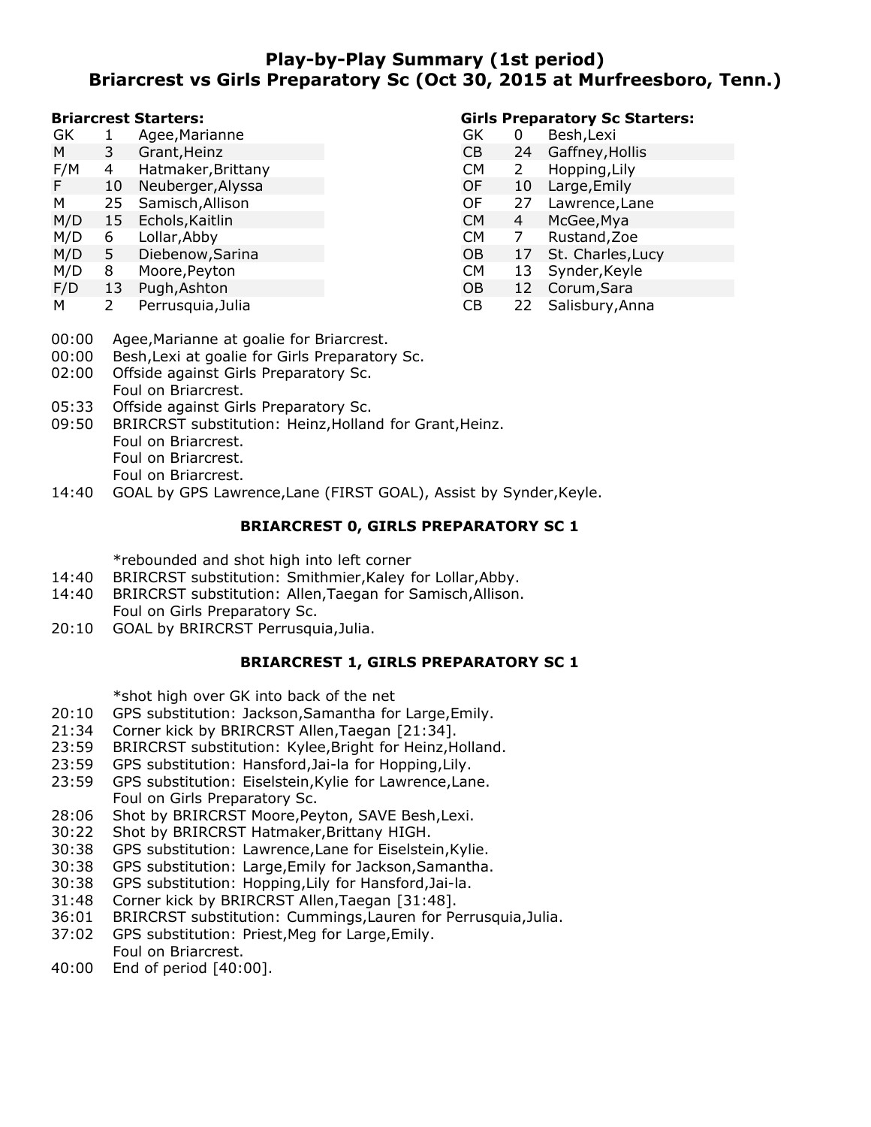## **Play-by-Play Summary (1st period) Briarcrest vs Girls Preparatory Sc (Oct 30, 2015 at Murfreesboro, Tenn.)**

#### **Briarcrest Starters:**

- GK 1 Agee,Marianne M 3 Grant,Heinz
- 
- F/M 4 Hatmaker, Brittany<br>F 10 Neuberger, Alyssa F 10 Neuberger,Alyssa
- M 25 Samisch,Allison
- M/D 15 Echols,Kaitlin
- M/D 6 Lollar,Abby
- M/D 5 Diebenow,Sarina
- M/D 8 Moore,Peyton
- F/D 13 Pugh,Ashton
- M 2 Perrusquia,Julia

### **Girls Preparatory Sc Starters:**

- GK 0 Besh,Lexi CB 24 Gaffney,Hollis CM 2 Hopping,Lily OF 10 Large, Emily<br>OF 27 Lawrence, La OF 27 Lawrence, Lane<br>CM 4 McGee, Mya CM 4 McGee,Mya CM 7 Rustand,Zoe OB 17 St. Charles, Lucy CM 13 Synder,Keyle OB 12 Corum,Sara CB 22 Salisbury,Anna
- 00:00 Agee,Marianne at goalie for Briarcrest.
- 00:00 Besh,Lexi at goalie for Girls Preparatory Sc.
- 02:00 Offside against Girls Preparatory Sc.
- Foul on Briarcrest.
- 05:33 Offside against Girls Preparatory Sc.
- 09:50 BRIRCRST substitution: Heinz,Holland for Grant,Heinz. Foul on Briarcrest. Foul on Briarcrest. Foul on Briarcrest.
- 14:40 GOAL by GPS Lawrence, Lane (FIRST GOAL), Assist by Synder, Keyle.

### **BRIARCREST 0, GIRLS PREPARATORY SC 1**

\*rebounded and shot high into left corner

- 14:40 BRIRCRST substitution: Smithmier,Kaley for Lollar,Abby.
- 14:40 BRIRCRST substitution: Allen,Taegan for Samisch,Allison. Foul on Girls Preparatory Sc.
- 20:10 GOAL by BRIRCRST Perrusquia,Julia.

## **BRIARCREST 1, GIRLS PREPARATORY SC 1**

\*shot high over GK into back of the net

- 20:10 GPS substitution: Jackson,Samantha for Large,Emily.
- 21:34 Corner kick by BRIRCRST Allen,Taegan [21:34].
- 23:59 BRIRCRST substitution: Kylee,Bright for Heinz,Holland.
- 23:59 GPS substitution: Hansford,Jai-la for Hopping,Lily.
- 23:59 GPS substitution: Eiselstein,Kylie for Lawrence,Lane. Foul on Girls Preparatory Sc.
- 28:06 Shot by BRIRCRST Moore,Peyton, SAVE Besh,Lexi.
- 30:22 Shot by BRIRCRST Hatmaker,Brittany HIGH.
- 30:38 GPS substitution: Lawrence,Lane for Eiselstein,Kylie.
- 30:38 GPS substitution: Large,Emily for Jackson,Samantha.
- 30:38 GPS substitution: Hopping,Lily for Hansford,Jai-la.
- 31:48 Corner kick by BRIRCRST Allen,Taegan [31:48].
- 36:01 BRIRCRST substitution: Cummings,Lauren for Perrusquia,Julia.
- 37:02 GPS substitution: Priest,Meg for Large,Emily. Foul on Briarcrest.
- 40:00 End of period [40:00].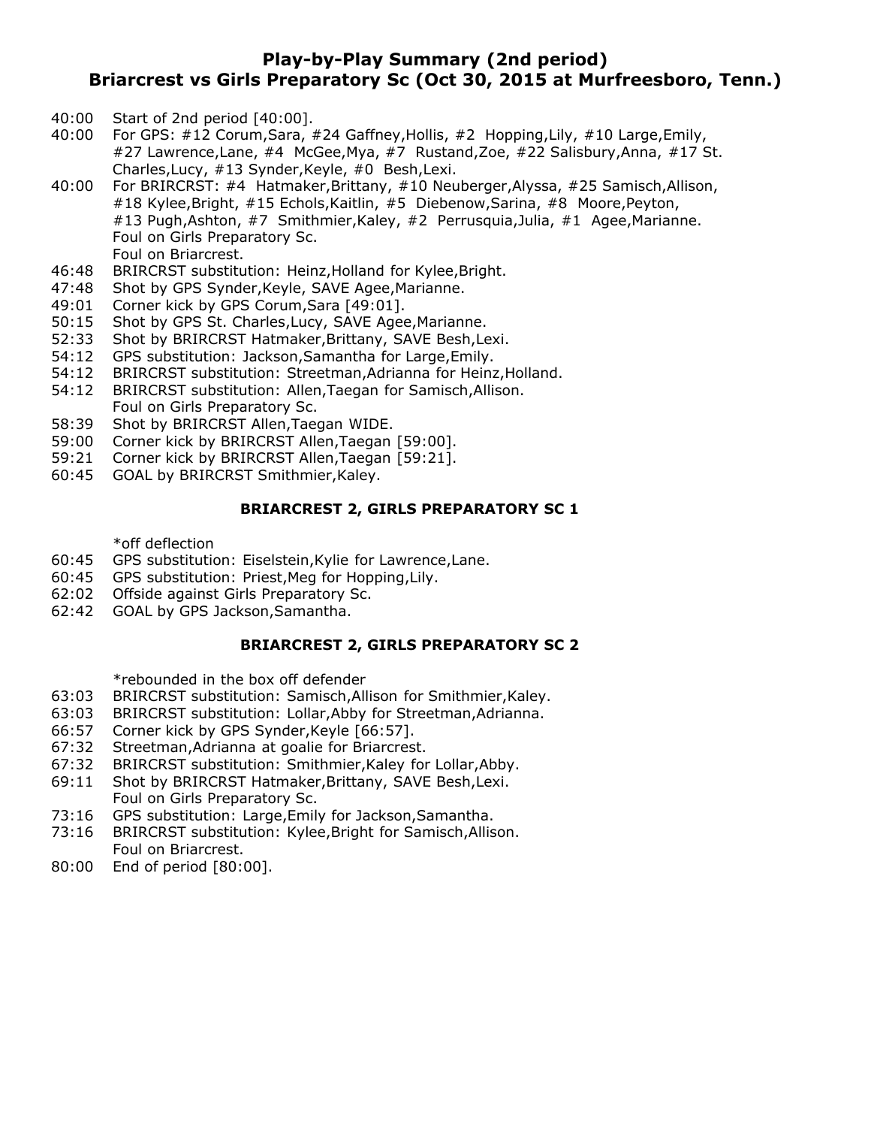## **Play-by-Play Summary (2nd period) Briarcrest vs Girls Preparatory Sc (Oct 30, 2015 at Murfreesboro, Tenn.)**

- 40:00 Start of 2nd period [40:00].
- 40:00 For GPS: #12 Corum,Sara, #24 Gaffney,Hollis, #2 Hopping,Lily, #10 Large,Emily, #27 Lawrence,Lane, #4 McGee,Mya, #7 Rustand,Zoe, #22 Salisbury,Anna, #17 St. Charles,Lucy, #13 Synder,Keyle, #0 Besh,Lexi.
- 40:00 For BRIRCRST: #4 Hatmaker,Brittany, #10 Neuberger,Alyssa, #25 Samisch,Allison, #18 Kylee,Bright, #15 Echols,Kaitlin, #5 Diebenow,Sarina, #8 Moore,Peyton, #13 Pugh,Ashton, #7 Smithmier,Kaley, #2 Perrusquia,Julia, #1 Agee,Marianne. Foul on Girls Preparatory Sc. Foul on Briarcrest.
- 46:48 BRIRCRST substitution: Heinz,Holland for Kylee,Bright.
- 47:48 Shot by GPS Synder,Keyle, SAVE Agee,Marianne.
- 49:01 Corner kick by GPS Corum,Sara [49:01].
- 50:15 Shot by GPS St. Charles,Lucy, SAVE Agee,Marianne.
- 52:33 Shot by BRIRCRST Hatmaker,Brittany, SAVE Besh,Lexi.
- 54:12 GPS substitution: Jackson,Samantha for Large,Emily.
- 54:12 BRIRCRST substitution: Streetman,Adrianna for Heinz,Holland.
- 54:12 BRIRCRST substitution: Allen,Taegan for Samisch,Allison. Foul on Girls Preparatory Sc.
- 58:39 Shot by BRIRCRST Allen,Taegan WIDE.
- 59:00 Corner kick by BRIRCRST Allen,Taegan [59:00].
- 59:21 Corner kick by BRIRCRST Allen,Taegan [59:21].
- 60:45 GOAL by BRIRCRST Smithmier,Kaley.

#### **BRIARCREST 2, GIRLS PREPARATORY SC 1**

\*off deflection

- 60:45 GPS substitution: Eiselstein,Kylie for Lawrence,Lane.
- 60:45 GPS substitution: Priest,Meg for Hopping,Lily.
- 62:02 Offside against Girls Preparatory Sc.
- 62:42 GOAL by GPS Jackson,Samantha.

#### **BRIARCREST 2, GIRLS PREPARATORY SC 2**

\*rebounded in the box off defender

- 63:03 BRIRCRST substitution: Samisch,Allison for Smithmier,Kaley.
- 63:03 BRIRCRST substitution: Lollar,Abby for Streetman,Adrianna.
- 66:57 Corner kick by GPS Synder,Keyle [66:57].
- 67:32 Streetman,Adrianna at goalie for Briarcrest.
- 67:32 BRIRCRST substitution: Smithmier,Kaley for Lollar,Abby.
- 69:11 Shot by BRIRCRST Hatmaker,Brittany, SAVE Besh,Lexi. Foul on Girls Preparatory Sc.
- 73:16 GPS substitution: Large,Emily for Jackson,Samantha.
- 73:16 BRIRCRST substitution: Kylee,Bright for Samisch,Allison. Foul on Briarcrest.
- 80:00 End of period [80:00].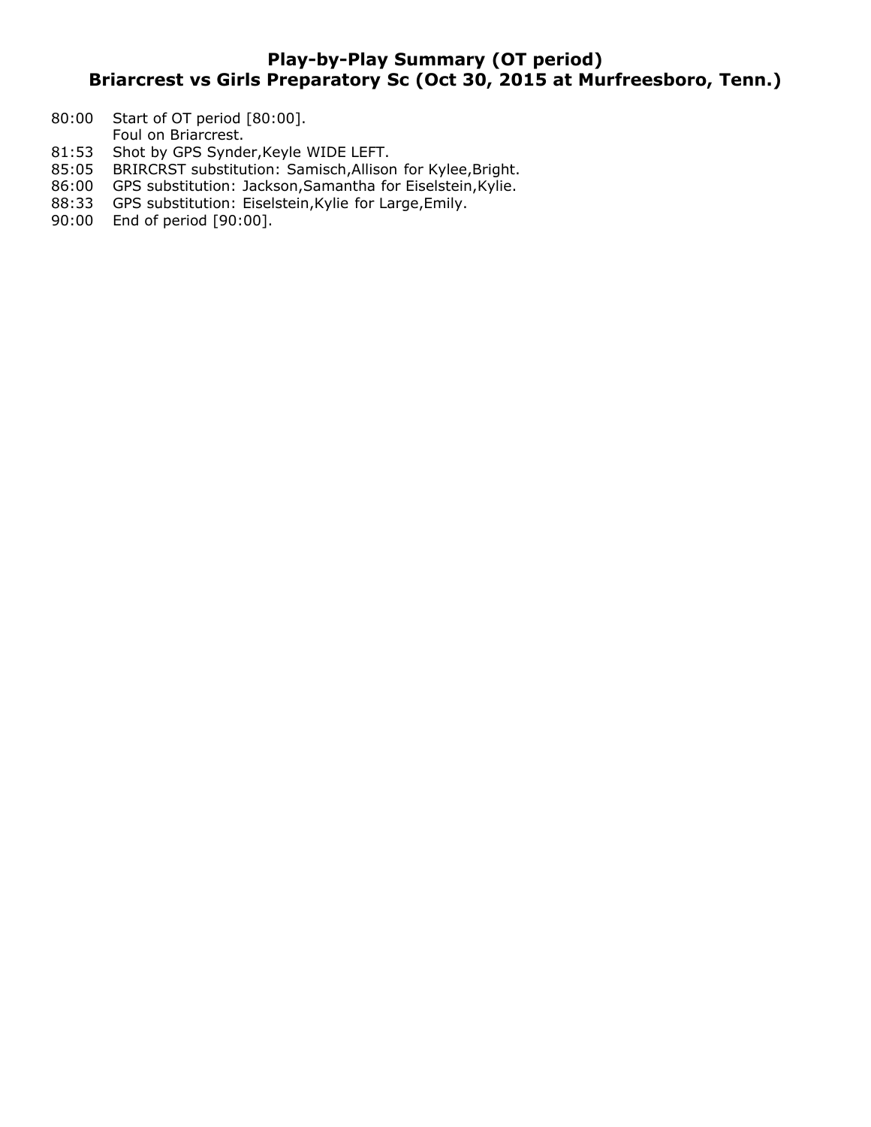# **Play-by-Play Summary (OT period) Briarcrest vs Girls Preparatory Sc (Oct 30, 2015 at Murfreesboro, Tenn.)**

- 80:00 Start of OT period [80:00].
- Foul on Briarcrest.
- 81:53 Shot by GPS Synder, Keyle WIDE LEFT.
- 85:05 BRIRCRST substitution: Samisch,Allison for Kylee,Bright.
- 86:00 GPS substitution: Jackson, Samantha for Eiselstein, Kylie.
- 88:33 GPS substitution: Eiselstein,Kylie for Large,Emily.
- 90:00 End of period [90:00].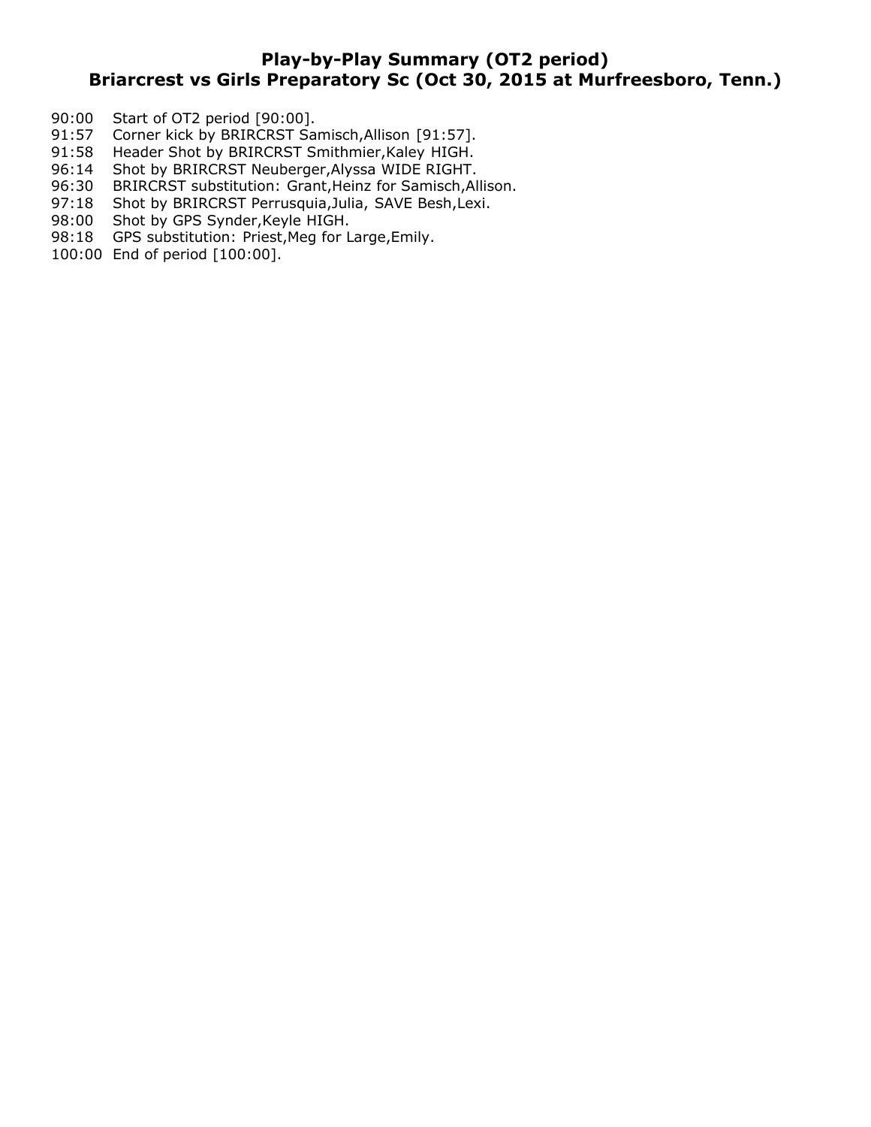## **Play-by-Play Summary (OT2 period) Briarcrest vs Girls Preparatory Sc (Oct 30, 2015 at Murfreesboro, Tenn.)**

- 90:00 Start of OT2 period [90:00].
- 91:57 Corner kick by BRIRCRST Samisch, Allison [91:57].
- 91:58 Header Shot by BRIRCRST Smithmier,Kaley HIGH.
- 96:14 Shot by BRIRCRST Neuberger,Alyssa WIDE RIGHT.
- 96:30 BRIRCRST substitution: Grant,Heinz for Samisch,Allison.
- 97:18 Shot by BRIRCRST Perrusquia, Julia, SAVE Besh, Lexi.
- 98:00 Shot by GPS Synder, Keyle HIGH.
- 98:18 GPS substitution: Priest, Meg for Large, Emily.
- 100:00 End of period [100:00].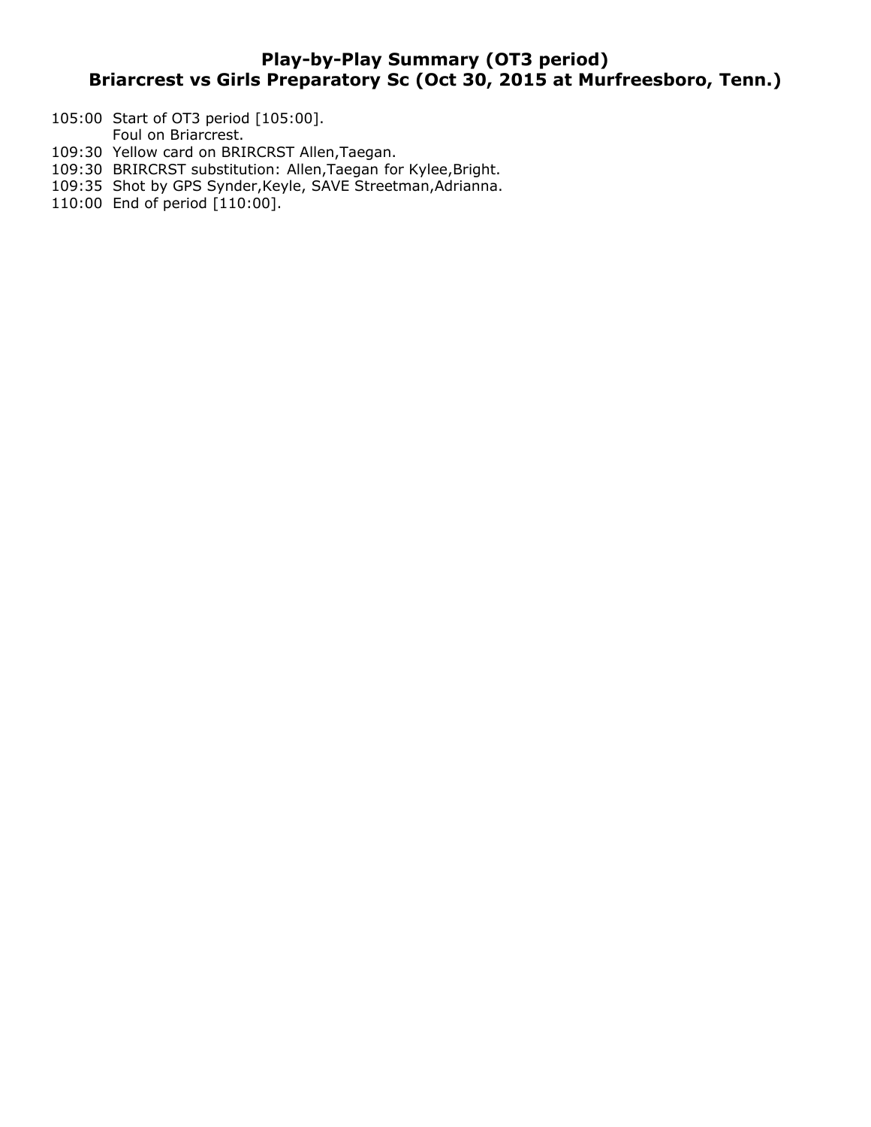# **Play-by-Play Summary (OT3 period) Briarcrest vs Girls Preparatory Sc (Oct 30, 2015 at Murfreesboro, Tenn.)**

- 105:00 Start of OT3 period [105:00].
- Foul on Briarcrest.
- 109:30 Yellow card on BRIRCRST Allen,Taegan.
- 109:30 BRIRCRST substitution: Allen,Taegan for Kylee,Bright.
- 109:35 Shot by GPS Synder,Keyle, SAVE Streetman,Adrianna.
- 110:00 End of period [110:00].